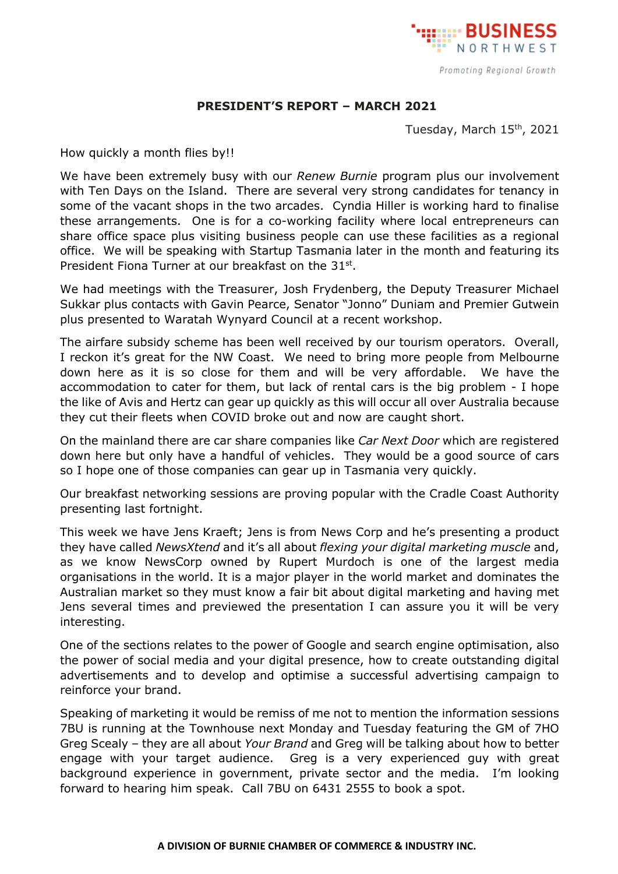

## **PRESIDENT'S REPORT – MARCH 2021**

Tuesday, March 15<sup>th</sup>, 2021

How quickly a month flies by!!

We have been extremely busy with our *Renew Burnie* program plus our involvement with Ten Days on the Island. There are several very strong candidates for tenancy in some of the vacant shops in the two arcades. Cyndia Hiller is working hard to finalise these arrangements. One is for a co-working facility where local entrepreneurs can share office space plus visiting business people can use these facilities as a regional office. We will be speaking with Startup Tasmania later in the month and featuring its President Fiona Turner at our breakfast on the 31st.

We had meetings with the Treasurer, Josh Frydenberg, the Deputy Treasurer Michael Sukkar plus contacts with Gavin Pearce, Senator "Jonno" Duniam and Premier Gutwein plus presented to Waratah Wynyard Council at a recent workshop.

The airfare subsidy scheme has been well received by our tourism operators. Overall, I reckon it's great for the NW Coast. We need to bring more people from Melbourne down here as it is so close for them and will be very affordable. We have the accommodation to cater for them, but lack of rental cars is the big problem - I hope the like of Avis and Hertz can gear up quickly as this will occur all over Australia because they cut their fleets when COVID broke out and now are caught short.

On the mainland there are car share companies like *Car Next Door* which are registered down here but only have a handful of vehicles. They would be a good source of cars so I hope one of those companies can gear up in Tasmania very quickly.

Our breakfast networking sessions are proving popular with the Cradle Coast Authority presenting last fortnight.

This week we have Jens Kraeft; Jens is from News Corp and he's presenting a product they have called *NewsXtend* and it's all about *flexing your digital marketing muscle* and, as we know NewsCorp owned by Rupert Murdoch is one of the largest media organisations in the world. It is a major player in the world market and dominates the Australian market so they must know a fair bit about digital marketing and having met Jens several times and previewed the presentation I can assure you it will be very interesting.

One of the sections relates to the power of Google and search engine optimisation, also the power of social media and your digital presence, how to create outstanding digital advertisements and to develop and optimise a successful advertising campaign to reinforce your brand.

Speaking of marketing it would be remiss of me not to mention the information sessions 7BU is running at the Townhouse next Monday and Tuesday featuring the GM of 7HO Greg Scealy – they are all about *Your Brand* and Greg will be talking about how to better engage with your target audience. Greg is a very experienced guy with great background experience in government, private sector and the media. I'm looking forward to hearing him speak. Call 7BU on 6431 2555 to book a spot.